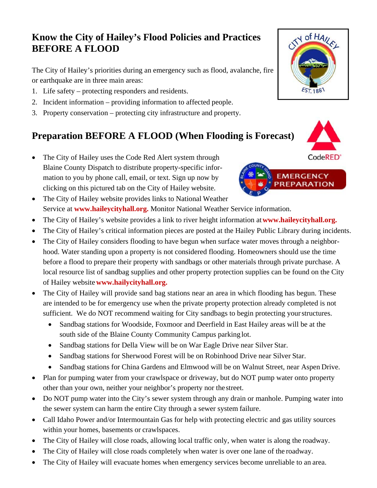## **Know the City of Hailey's Flood Policies and Practices BEFORE A FLOOD**

The City of Hailey's priorities during an emergency such as flood, avalanche, fire or earthquake are in three main areas:

- 1. Life safety protecting responders and residents.
- 2. Incident information providing information to affected people.
- 3. Property conservation protecting city infrastructure and property.

# **Preparation BEFORE A FLOOD (When Flooding is Forecast)**

- The City of Hailey uses the Code Red Alert system through Blaine County Dispatch to distribute property-specific information to you by phone call, email, or text. Sign up now by clicking on this pictured tab on the City of Hailey website.
- The City of Hailey website provides links to National Weather Service at **www.haileycityhall.org.** Monitor National Weather Service information.
- The City of Hailey's website provides a link to river height information at **www.haileycityhall.org.**
- The City of Hailey's critical information pieces are posted at the Hailey Public Library during incidents.
- The City of Hailey considers flooding to have begun when surface water moves through a neighborhood. Water standing upon a property is not considered flooding. Homeowners should use the time before a flood to prepare their property with sandbags or other materials through private purchase. A local resource list of sandbag supplies and other property protection supplies can be found on the City of Hailey website **www.hailycityhall.org.**
- The City of Hailey will provide sand bag stations near an area in which flooding has begun. These are intended to be for emergency use when the private property protection already completed is not sufficient. We do NOT recommend waiting for City sandbags to begin protecting your structures.
	- Sandbag stations for Woodside, Foxmoor and Deerfield in East Hailey areas will be at the south side of the Blaine County Community Campus parking lot.
	- Sandbag stations for Della View will be on War Eagle Drive near Silver Star.
	- Sandbag stations for Sherwood Forest will be on Robinhood Drive near Silver Star.
	- Sandbag stations for China Gardens and Elmwood will be on Walnut Street, near Aspen Drive.
- Plan for pumping water from your crawlspace or driveway, but do NOT pump water onto property other than your own, neither your neighbor's property nor the street.
- Do NOT pump water into the City's sewer system through any drain or manhole. Pumping water into the sewer system can harm the entire City through a sewer system failure.
- Call Idaho Power and/or Intermountain Gas for help with protecting electric and gas utility sources within your homes, basements or crawlspaces.
- The City of Hailey will close roads, allowing local traffic only, when water is along the roadway.
- The City of Hailey will close roads completely when water is over one lane of the roadway.
- The City of Hailey will evacuate homes when emergency services become unreliable to an area.





**PREPARA**